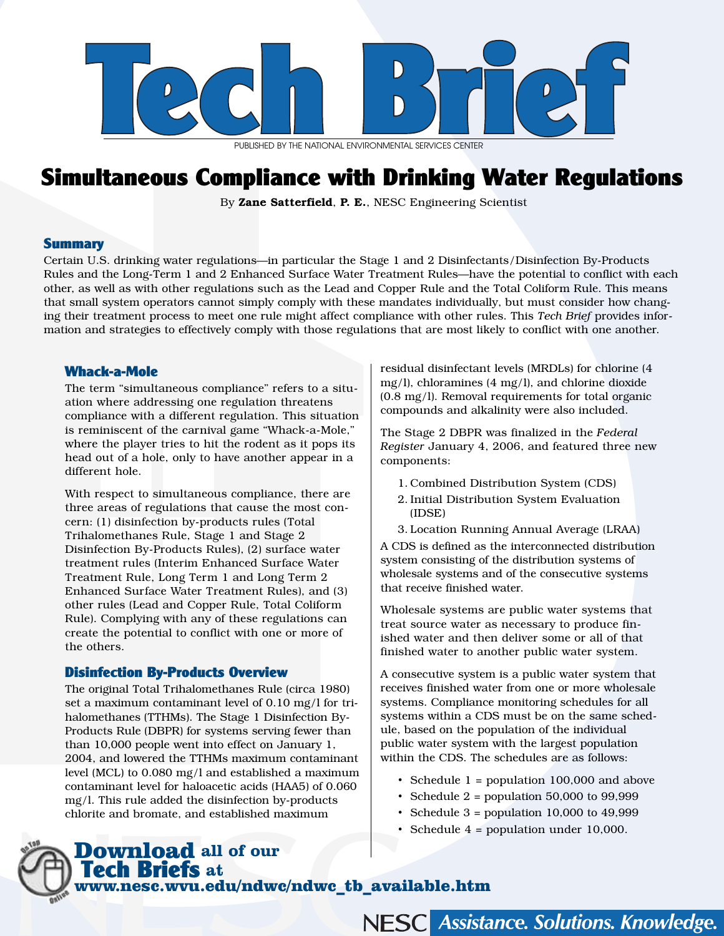

PUBLISHED BY THE NATIONAL ENVIRONMENTAL SERVICES CENTER

# Simultaneous Compliance with Drinking Water Regulations

By Zane Satterfield, P. E., NESC Engineering Scientist

#### **Summary**

Certain U.S. drinking water regulations—in particular the Stage 1 and 2 Disinfectants/Disinfection By-Products Rules and the Long-Term 1 and 2 Enhanced Surface Water Treatment Rules—have the potential to conflict with each other, as well as with other regulations such as the Lead and Copper Rule and the Total Coliform Rule. This means that small system operators cannot simply comply with these mandates individually, but must consider how changing their treatment process to meet one rule might affect compliance with other rules. This *Tech Brief* provides information and strategies to effectively comply with those regulations that are most likely to conflict with one another.

#### Whack-a-Mole

The term "simultaneous compliance" refers to a situation where addressing one regulation threatens compliance with a different regulation. This situation is reminiscent of the carnival game "Whack-a-Mole," where the player tries to hit the rodent as it pops its head out of a hole, only to have another appear in a different hole.

With respect to simultaneous compliance, there are three areas of regulations that cause the most concern: (1) disinfection by-products rules (Total Trihalomethanes Rule, Stage 1 and Stage 2 Disinfection By-Products Rules), (2) surface water treatment rules (Interim Enhanced Surface Water Treatment Rule, Long Term 1 and Long Term 2 Enhanced Surface Water Treatment Rules), and (3) other rules (Lead and Copper Rule, Total Coliform Rule). Complying with any of these regulations can create the potential to conflict with one or more of the others.

#### Disinfection By-Products Overview

The original Total Trihalomethanes Rule (circa 1980) set a maximum contaminant level of 0.10 mg/l for trihalomethanes (TTHMs). The Stage 1 Disinfection By-Products Rule (DBPR) for systems serving fewer than than 10,000 people went into effect on January 1, 2004, and lowered the TTHMs maximum contaminant level (MCL) to 0.080 mg/l and established a maximum contaminant level for haloacetic acids (HAA5) of 0.060 mg/l. This rule added the disinfection by-products chlorite and bromate, and established maximum

residual disinfectant levels (MRDLs) for chlorine (4 mg/l), chloramines (4 mg/l), and chlorine dioxide (0.8 mg/l). Removal requirements for total organic compounds and alkalinity were also included.

The Stage 2 DBPR was finalized in the *Federal Register* January 4, 2006, and featured three new components:

- 1. Combined Distribution System (CDS)
- 2. Initial Distribution System Evaluation (IDSE)

3. Location Running Annual Average (LRAA) A CDS is defined as the interconnected distribution system consisting of the distribution systems of wholesale systems and of the consecutive systems that receive finished water.

Wholesale systems are public water systems that treat source water as necessary to produce finished water and then deliver some or all of that finished water to another public water system.

A consecutive system is a public water system that receives finished water from one or more wholesale systems. Compliance monitoring schedules for all systems within a CDS must be on the same schedule, based on the population of the individual public water system with the largest population within the CDS. The schedules are as follows:

- Schedule 1 = population 100,000 and above
- Schedule  $2 =$  population 50,000 to 99,999
- Schedule  $3$  = population 10,000 to 49,999
- Schedule 4 = population under 10,000.

# Download **all of our**  Tech Briefs **at**  www.nesc.wvu.edu/ndwc/ndwc\_tb\_available.htm

NESC Assistance. Solutions. Knowledge.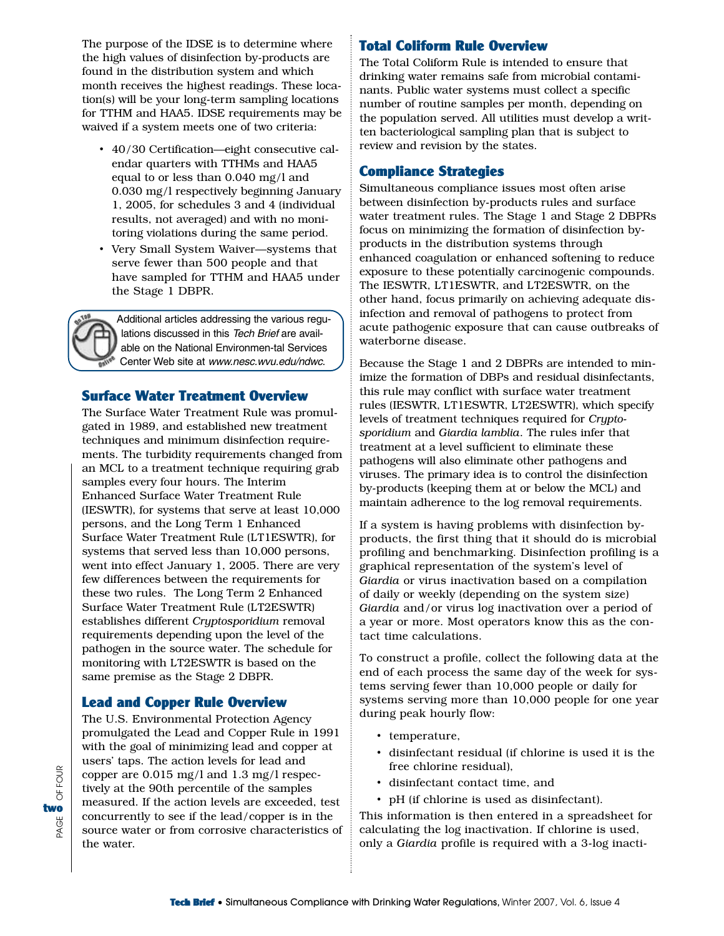The purpose of the IDSE is to determine where the high values of disinfection by-products are found in the distribution system and which month receives the highest readings. These location(s) will be your long-term sampling locations for TTHM and HAA5. IDSE requirements may be waived if a system meets one of two criteria:

- 40/30 Certification—eight consecutive calendar quarters with TTHMs and HAA5 equal to or less than 0.040 mg/l and 0.030 mg/l respectively beginning January 1, 2005, for schedules 3 and 4 (individual results, not averaged) and with no monitoring violations during the same period.
- Very Small System Waiver—systems that serve fewer than 500 people and that have sampled for TTHM and HAA5 under the Stage 1 DBPR.

Additional articles addressing the various regulations discussed in this Tech Brief are available on the National Environmen-tal Services Center Web site at www.nesc.wvu.edu/ndwc.

#### Surface Water Treatment Overview

The Surface Water Treatment Rule was promulgated in 1989, and established new treatment techniques and minimum disinfection requirements. The turbidity requirements changed from an MCL to a treatment technique requiring grab samples every four hours. The Interim Enhanced Surface Water Treatment Rule (IESWTR), for systems that serve at least 10,000 persons, and the Long Term 1 Enhanced Surface Water Treatment Rule (LT1ESWTR), for systems that served less than 10,000 persons, went into effect January 1, 2005. There are very few differences between the requirements for these two rules. The Long Term 2 Enhanced Surface Water Treatment Rule (LT2ESWTR) establishes different *Cryptosporidium* removal requirements depending upon the level of the pathogen in the source water. The schedule for monitoring with LT2ESWTR is based on the same premise as the Stage 2 DBPR.

# Lead and Copper Rule Overview

The U.S. Environmental Protection Agency promulgated the Lead and Copper Rule in 1991 with the goal of minimizing lead and copper at users' taps. The action levels for lead and copper are 0.015 mg/l and 1.3 mg/l respectively at the 90th percentile of the samples measured. If the action levels are exceeded, test concurrently to see if the lead/copper is in the source water or from corrosive characteristics of the water.

## Total Coliform Rule Overview

The Total Coliform Rule is intended to ensure that drinking water remains safe from microbial contaminants. Public water systems must collect a specific number of routine samples per month, depending on the population served. All utilities must develop a written bacteriological sampling plan that is subject to review and revision by the states.

### Compliance Strategies

Simultaneous compliance issues most often arise between disinfection by-products rules and surface water treatment rules. The Stage 1 and Stage 2 DBPRs focus on minimizing the formation of disinfection byproducts in the distribution systems through enhanced coagulation or enhanced softening to reduce exposure to these potentially carcinogenic compounds. The IESWTR, LT1ESWTR, and LT2ESWTR, on the other hand, focus primarily on achieving adequate disinfection and removal of pathogens to protect from acute pathogenic exposure that can cause outbreaks of waterborne disease.

Because the Stage 1 and 2 DBPRs are intended to minimize the formation of DBPs and residual disinfectants, this rule may conflict with surface water treatment rules (IESWTR, LT1ESWTR, LT2ESWTR), which specify levels of treatment techniques required for *Cryptosporidium* and *Giardia lamblia*. The rules infer that treatment at a level sufficient to eliminate these pathogens will also eliminate other pathogens and viruses. The primary idea is to control the disinfection by-products (keeping them at or below the MCL) and maintain adherence to the log removal requirements.

If a system is having problems with disinfection byproducts, the first thing that it should do is microbial profiling and benchmarking. Disinfection profiling is a graphical representation of the system's level of *Giardia* or virus inactivation based on a compilation of daily or weekly (depending on the system size) *Giardia* and/or virus log inactivation over a period of a year or more. Most operators know this as the contact time calculations.

To construct a profile, collect the following data at the end of each process the same day of the week for systems serving fewer than 10,000 people or daily for systems serving more than 10,000 people for one year during peak hourly flow:

- temperature,
- disinfectant residual (if chlorine is used it is the free chlorine residual),
- disinfectant contact time, and
- pH (if chlorine is used as disinfectant).

This information is then entered in a spreadsheet for calculating the log inactivation. If chlorine is used, only a *Giardia* profile is required with a 3-log inacti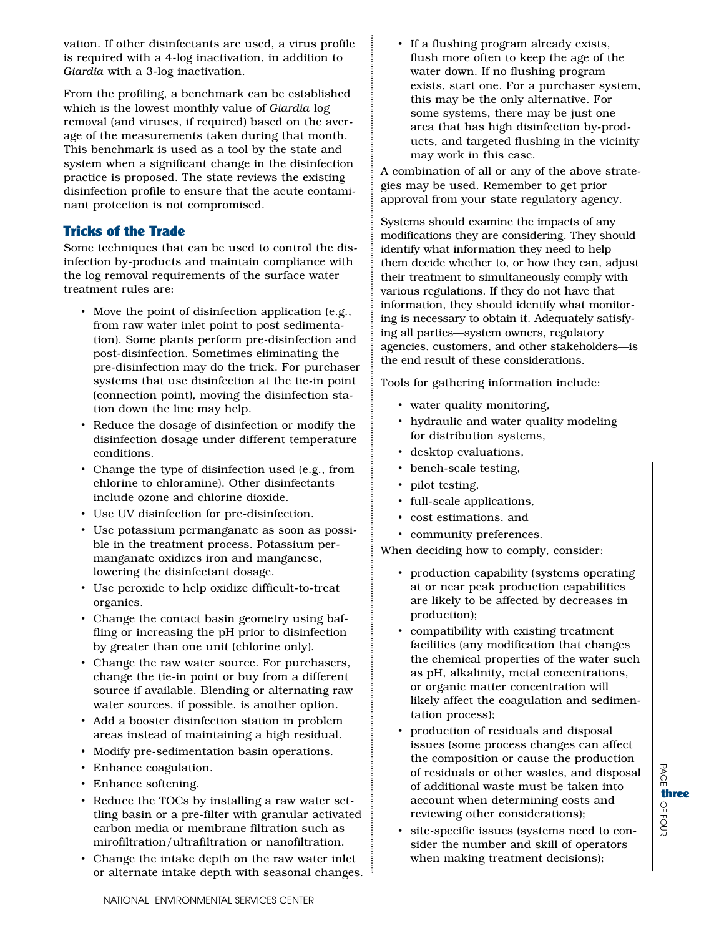vation. If other disinfectants are used, a virus profile is required with a 4-log inactivation, in addition to *Giardia* with a 3-log inactivation.

From the profiling, a benchmark can be established which is the lowest monthly value of *Giardia* log removal (and viruses, if required) based on the average of the measurements taken during that month. This benchmark is used as a tool by the state and system when a significant change in the disinfection practice is proposed. The state reviews the existing disinfection profile to ensure that the acute contaminant protection is not compromised.

# Tricks of the Trade

Some techniques that can be used to control the disinfection by-products and maintain compliance with the log removal requirements of the surface water treatment rules are:

- Move the point of disinfection application (e.g., from raw water inlet point to post sedimentation). Some plants perform pre-disinfection and post-disinfection. Sometimes eliminating the pre-disinfection may do the trick. For purchaser systems that use disinfection at the tie-in point (connection point), moving the disinfection station down the line may help.
- Reduce the dosage of disinfection or modify the disinfection dosage under different temperature conditions.
- Change the type of disinfection used (e.g., from chlorine to chloramine). Other disinfectants include ozone and chlorine dioxide.
- Use UV disinfection for pre-disinfection.
- Use potassium permanganate as soon as possible in the treatment process. Potassium permanganate oxidizes iron and manganese, lowering the disinfectant dosage.
- Use peroxide to help oxidize difficult-to-treat organics.
- Change the contact basin geometry using baffling or increasing the pH prior to disinfection by greater than one unit (chlorine only).
- Change the raw water source. For purchasers, change the tie-in point or buy from a different source if available. Blending or alternating raw water sources, if possible, is another option.
- Add a booster disinfection station in problem areas instead of maintaining a high residual.
- Modify pre-sedimentation basin operations.
- Enhance coagulation.
- Enhance softening.
- Reduce the TOCs by installing a raw water settling basin or a pre-filter with granular activated carbon media or membrane filtration such as mirofiltration/ultrafiltration or nanofiltration.
- Change the intake depth on the raw water inlet or alternate intake depth with seasonal changes.

• If a flushing program already exists, flush more often to keep the age of the water down. If no flushing program exists, start one. For a purchaser system, this may be the only alternative. For some systems, there may be just one area that has high disinfection by-products, and targeted flushing in the vicinity may work in this case.

A combination of all or any of the above strategies may be used. Remember to get prior approval from your state regulatory agency.

Systems should examine the impacts of any modifications they are considering. They should identify what information they need to help them decide whether to, or how they can, adjust their treatment to simultaneously comply with various regulations. If they do not have that information, they should identify what monitoring is necessary to obtain it. Adequately satisfying all parties—system owners, regulatory agencies, customers, and other stakeholders—is the end result of these considerations.

Tools for gathering information include:

- water quality monitoring,
- hydraulic and water quality modeling for distribution systems,
- desktop evaluations,
- bench-scale testing,
- pilot testing,
- full-scale applications,
- cost estimations, and
- community preferences.

When deciding how to comply, consider:

- production capability (systems operating at or near peak production capabilities are likely to be affected by decreases in production);
- compatibility with existing treatment facilities (any modification that changes the chemical properties of the water such as pH, alkalinity, metal concentrations, or organic matter concentration will likely affect the coagulation and sedimentation process);
- production of residuals and disposal issues (some process changes can affect the composition or cause the production of residuals or other wastes, and disposal of additional waste must be taken into account when determining costs and reviewing other considerations);

B  $\Omega$ 

OF 70<br>등

three

• site-specific issues (systems need to consider the number and skill of operators when making treatment decisions);